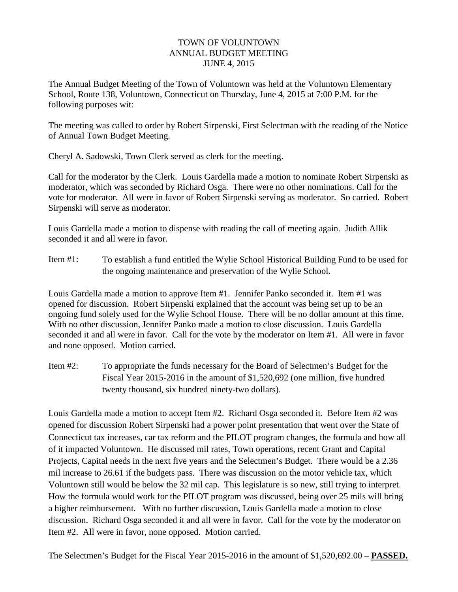## TOWN OF VOLUNTOWN ANNUAL BUDGET MEETING JUNE 4, 2015

The Annual Budget Meeting of the Town of Voluntown was held at the Voluntown Elementary School, Route 138, Voluntown, Connecticut on Thursday, June 4, 2015 at 7:00 P.M. for the following purposes wit:

The meeting was called to order by Robert Sirpenski, First Selectman with the reading of the Notice of Annual Town Budget Meeting.

Cheryl A. Sadowski, Town Clerk served as clerk for the meeting.

Call for the moderator by the Clerk. Louis Gardella made a motion to nominate Robert Sirpenski as moderator, which was seconded by Richard Osga. There were no other nominations. Call for the vote for moderator. All were in favor of Robert Sirpenski serving as moderator. So carried. Robert Sirpenski will serve as moderator.

Louis Gardella made a motion to dispense with reading the call of meeting again. Judith Allik seconded it and all were in favor.

Item #1: To establish a fund entitled the Wylie School Historical Building Fund to be used for the ongoing maintenance and preservation of the Wylie School.

Louis Gardella made a motion to approve Item #1. Jennifer Panko seconded it. Item #1 was opened for discussion. Robert Sirpenski explained that the account was being set up to be an ongoing fund solely used for the Wylie School House. There will be no dollar amount at this time. With no other discussion, Jennifer Panko made a motion to close discussion. Louis Gardella seconded it and all were in favor. Call for the vote by the moderator on Item #1. All were in favor and none opposed. Motion carried.

Item #2: To appropriate the funds necessary for the Board of Selectmen's Budget for the Fiscal Year 2015-2016 in the amount of \$1,520,692 (one million, five hundred twenty thousand, six hundred ninety-two dollars).

Louis Gardella made a motion to accept Item #2. Richard Osga seconded it. Before Item #2 was opened for discussion Robert Sirpenski had a power point presentation that went over the State of Connecticut tax increases, car tax reform and the PILOT program changes, the formula and how all of it impacted Voluntown. He discussed mil rates, Town operations, recent Grant and Capital Projects, Capital needs in the next five years and the Selectmen's Budget. There would be a 2.36 mil increase to 26.61 if the budgets pass. There was discussion on the motor vehicle tax, which Voluntown still would be below the 32 mil cap. This legislature is so new, still trying to interpret. How the formula would work for the PILOT program was discussed, being over 25 mils will bring a higher reimbursement. With no further discussion, Louis Gardella made a motion to close discussion. Richard Osga seconded it and all were in favor. Call for the vote by the moderator on Item #2. All were in favor, none opposed. Motion carried.

The Selectmen's Budget for the Fiscal Year 2015-2016 in the amount of \$1,520,692.00 – **PASSED.**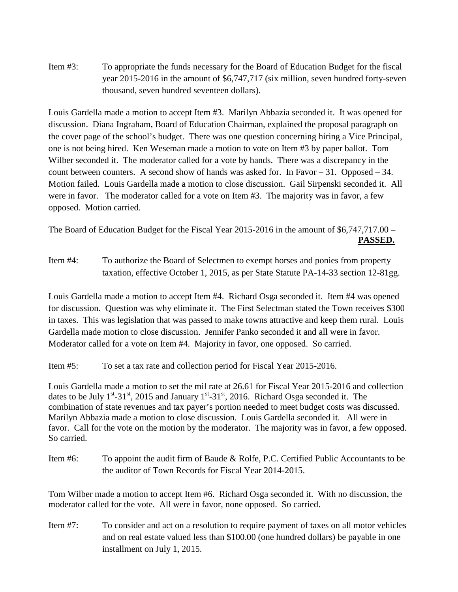Item #3: To appropriate the funds necessary for the Board of Education Budget for the fiscal year 2015-2016 in the amount of \$6,747,717 (six million, seven hundred forty-seven thousand, seven hundred seventeen dollars).

Louis Gardella made a motion to accept Item #3. Marilyn Abbazia seconded it. It was opened for discussion. Diana Ingraham, Board of Education Chairman, explained the proposal paragraph on the cover page of the school's budget. There was one question concerning hiring a Vice Principal, one is not being hired. Ken Weseman made a motion to vote on Item #3 by paper ballot. Tom Wilber seconded it. The moderator called for a vote by hands. There was a discrepancy in the count between counters. A second show of hands was asked for. In Favor – 31. Opposed – 34. Motion failed. Louis Gardella made a motion to close discussion. Gail Sirpenski seconded it. All were in favor. The moderator called for a vote on Item #3. The majority was in favor, a few opposed. Motion carried.

The Board of Education Budget for the Fiscal Year 2015-2016 in the amount of \$6,747,717.00 – **PASSED.**

Item #4: To authorize the Board of Selectmen to exempt horses and ponies from property taxation, effective October 1, 2015, as per State Statute PA-14-33 section 12-81gg.

Louis Gardella made a motion to accept Item #4. Richard Osga seconded it. Item #4 was opened for discussion. Question was why eliminate it. The First Selectman stated the Town receives \$300 in taxes. This was legislation that was passed to make towns attractive and keep them rural. Louis Gardella made motion to close discussion. Jennifer Panko seconded it and all were in favor. Moderator called for a vote on Item #4. Majority in favor, one opposed. So carried.

Item #5: To set a tax rate and collection period for Fiscal Year 2015-2016.

Louis Gardella made a motion to set the mil rate at 26.61 for Fiscal Year 2015-2016 and collection dates to be July  $1^{st}$ -31<sup>st</sup>, 2015 and January  $1^{st}$ -31<sup>st</sup>, 2016. Richard Osga seconded it. The combination of state revenues and tax payer's portion needed to meet budget costs was discussed. Marilyn Abbazia made a motion to close discussion. Louis Gardella seconded it. All were in favor. Call for the vote on the motion by the moderator. The majority was in favor, a few opposed. So carried.

Item #6: To appoint the audit firm of Baude & Rolfe, P.C. Certified Public Accountants to be the auditor of Town Records for Fiscal Year 2014-2015.

Tom Wilber made a motion to accept Item #6. Richard Osga seconded it. With no discussion, the moderator called for the vote. All were in favor, none opposed. So carried.

Item #7: To consider and act on a resolution to require payment of taxes on all motor vehicles and on real estate valued less than \$100.00 (one hundred dollars) be payable in one installment on July 1, 2015.